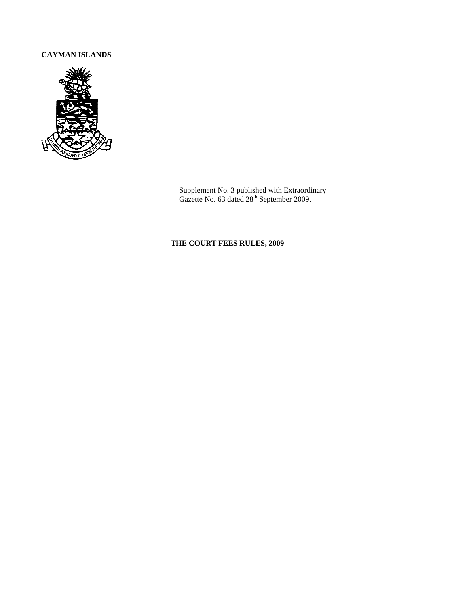# **CAYMAN ISLANDS**



Supplement No. 3 published with Extraordinary Gazette No. 63 dated 28<sup>th</sup> September 2009.

# **THE COURT FEES RULES, 2009**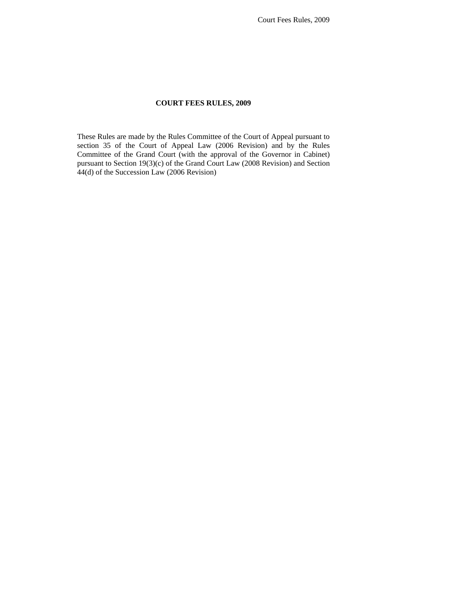Court Fees Rules, 2009

### **COURT FEES RULES, 2009**

These Rules are made by the Rules Committee of the Court of Appeal pursuant to section 35 of the Court of Appeal Law (2006 Revision) and by the Rules Committee of the Grand Court (with the approval of the Governor in Cabinet) pursuant to Section 19(3)(c) of the Grand Court Law (2008 Revision) and Section 44(d) of the Succession Law (2006 Revision)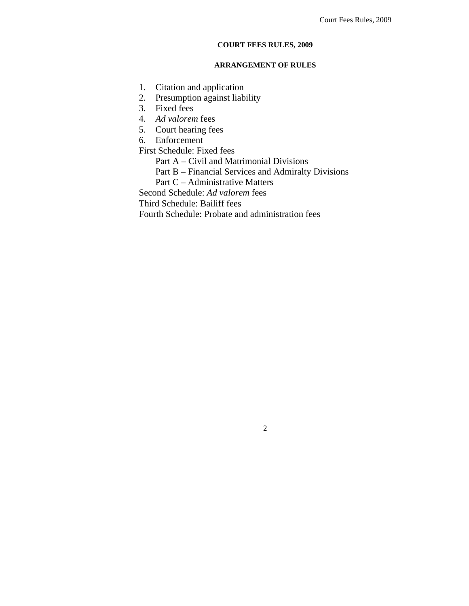### **COURT FEES RULES, 2009**

## **ARRANGEMENT OF RULES**

- 1. Citation and application
- 2. Presumption against liability
- 3. Fixed fees
- 4. *Ad valorem* fees
- 5. Court hearing fees
- 6. Enforcement

First Schedule: Fixed fees

Part A – Civil and Matrimonial Divisions

- Part B Financial Services and Admiralty Divisions
- Part C Administrative Matters

Second Schedule: *Ad valorem* fees

Third Schedule: Bailiff fees

Fourth Schedule: Probate and administration fees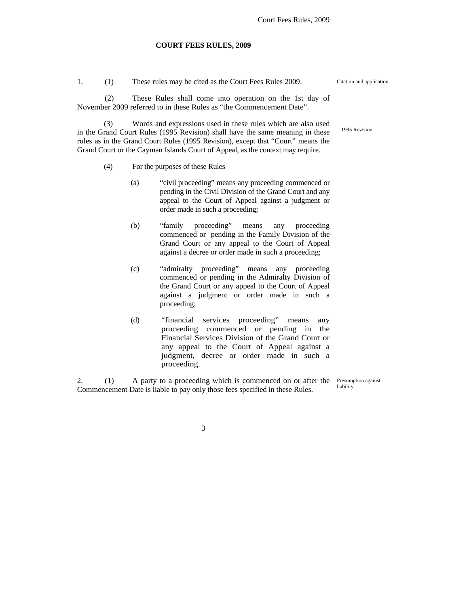#### **COURT FEES RULES, 2009**

1. (1) These rules may be cited as the Court Fees Rules 2009. Citation and application (2) These Rules shall come into operation on the 1st day of November 2009 referred to in these Rules as "the Commencement Date".

 (3) Words and expressions used in these rules which are also used in the Grand Court Rules (1995 Revision) shall have the same meaning in these rules as in the Grand Court Rules (1995 Revision), except that "Court" means the Grand Court or the Cayman Islands Court of Appeal, as the context may require.

- (4) For the purposes of these Rules
	- (a) "civil proceeding" means any proceeding commenced or pending in the Civil Division of the Grand Court and any appeal to the Court of Appeal against a judgment or order made in such a proceeding;
	- (b) "family proceeding" means any proceeding commenced or pending in the Family Division of the Grand Court or any appeal to the Court of Appeal against a decree or order made in such a proceeding;
	- (c) "admiralty proceeding" means any proceeding commenced or pending in the Admiralty Division of the Grand Court or any appeal to the Court of Appeal against a judgment or order made in such a proceeding;
	- (d) "financial services proceeding" means any proceeding commenced or pending in the Financial Services Division of the Grand Court or any appeal to the Court of Appeal against a judgment, decree or order made in such a proceeding.

2. (1) A party to a proceeding which is commenced on or after the Commencement Date is liable to pay only those fees specified in these Rules.

Presumption against liability

3

1995 Revision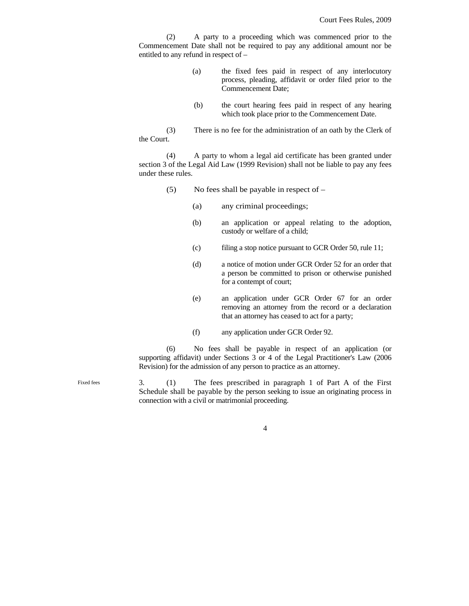(2) A party to a proceeding which was commenced prior to the Commencement Date shall not be required to pay any additional amount nor be entitled to any refund in respect of –

- (a) the fixed fees paid in respect of any interlocutory process, pleading, affidavit or order filed prior to the Commencement Date;
- (b) the court hearing fees paid in respect of any hearing which took place prior to the Commencement Date.

(3) There is no fee for the administration of an oath by the Clerk of the Court.

(4) A party to whom a legal aid certificate has been granted under section 3 of the Legal Aid Law (1999 Revision) shall not be liable to pay any fees under these rules.

- (5) No fees shall be payable in respect of  $-$ 
	- (a) any criminal proceedings;
	- (b) an application or appeal relating to the adoption, custody or welfare of a child;
	- (c) filing a stop notice pursuant to GCR Order 50, rule 11;
	- (d) a notice of motion under GCR Order 52 for an order that a person be committed to prison or otherwise punished for a contempt of court;
	- (e) an application under GCR Order 67 for an order removing an attorney from the record or a declaration that an attorney has ceased to act for a party;
	- (f) any application under GCR Order 92.

(6) No fees shall be payable in respect of an application (or supporting affidavit) under Sections 3 or 4 of the Legal Practitioner's Law (2006 Revision) for the admission of any person to practice as an attorney.

3. (1) The fees prescribed in paragraph 1 of Part A of the First Schedule shall be payable by the person seeking to issue an originating process in connection with a civil or matrimonial proceeding. Fixed fees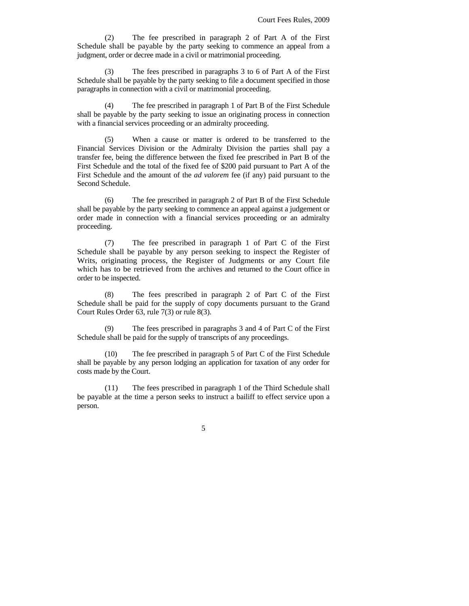(2) The fee prescribed in paragraph 2 of Part A of the First Schedule shall be payable by the party seeking to commence an appeal from a judgment, order or decree made in a civil or matrimonial proceeding.

 (3) The fees prescribed in paragraphs 3 to 6 of Part A of the First Schedule shall be payable by the party seeking to file a document specified in those paragraphs in connection with a civil or matrimonial proceeding.

(4) The fee prescribed in paragraph 1 of Part B of the First Schedule shall be payable by the party seeking to issue an originating process in connection with a financial services proceeding or an admiralty proceeding.

(5) When a cause or matter is ordered to be transferred to the Financial Services Division or the Admiralty Division the parties shall pay a transfer fee, being the difference between the fixed fee prescribed in Part B of the First Schedule and the total of the fixed fee of \$200 paid pursuant to Part A of the First Schedule and the amount of the *ad valorem* fee (if any) paid pursuant to the Second Schedule.

(6) The fee prescribed in paragraph 2 of Part B of the First Schedule shall be payable by the party seeking to commence an appeal against a judgement or order made in connection with a financial services proceeding or an admiralty proceeding.

 (7) The fee prescribed in paragraph 1 of Part C of the First Schedule shall be payable by any person seeking to inspect the Register of Writs, originating process, the Register of Judgments or any Court file which has to be retrieved from the archives and returned to the Court office in order to be inspected.

 (8) The fees prescribed in paragraph 2 of Part C of the First Schedule shall be paid for the supply of copy documents pursuant to the Grand Court Rules Order 63, rule 7(3) or rule 8(3).

 (9) The fees prescribed in paragraphs 3 and 4 of Part C of the First Schedule shall be paid for the supply of transcripts of any proceedings.

(10) The fee prescribed in paragraph 5 of Part C of the First Schedule shall be payable by any person lodging an application for taxation of any order for costs made by the Court.

 (11) The fees prescribed in paragraph 1 of the Third Schedule shall be payable at the time a person seeks to instruct a bailiff to effect service upon a person.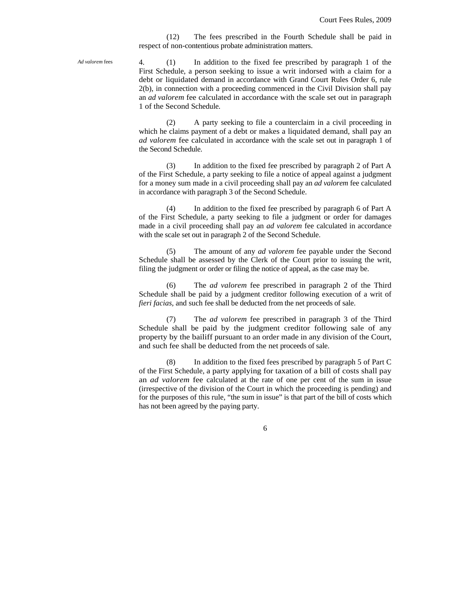(12) The fees prescribed in the Fourth Schedule shall be paid in respect of non-contentious probate administration matters.

*Ad valorem* fees

4. (1) In addition to the fixed fee prescribed by paragraph 1 of the First Schedule, a person seeking to issue a writ indorsed with a claim for a debt or liquidated demand in accordance with Grand Court Rules Order 6, rule 2(b), in connection with a proceeding commenced in the Civil Division shall pay an *ad valorem* fee calculated in accordance with the scale set out in paragraph 1 of the Second Schedule.

 (2) A party seeking to file a counterclaim in a civil proceeding in which he claims payment of a debt or makes a liquidated demand, shall pay an *ad valorem* fee calculated in accordance with the scale set out in paragraph 1 of the Second Schedule.

 (3) In addition to the fixed fee prescribed by paragraph 2 of Part A of the First Schedule, a party seeking to file a notice of appeal against a judgment for a money sum made in a civil proceeding shall pay an *ad valorem* fee calculated in accordance with paragraph 3 of the Second Schedule.

 (4) In addition to the fixed fee prescribed by paragraph 6 of Part A of the First Schedule, a party seeking to file a judgment or order for damages made in a civil proceeding shall pay an *ad valorem* fee calculated in accordance with the scale set out in paragraph 2 of the Second Schedule.

 (5) The amount of any *ad valorem* fee payable under the Second Schedule shall be assessed by the Clerk of the Court prior to issuing the writ, filing the judgment or order or filing the notice of appeal, as the case may be.

 (6) The *ad valorem* fee prescribed in paragraph 2 of the Third Schedule shall be paid by a judgment creditor following execution of a writ of *fieri facias,* and such fee shall be deducted from the net proceeds of sale.

 (7) The *ad valorem* fee prescribed in paragraph 3 of the Third Schedule shall be paid by the judgment creditor following sale of any property by the bailiff pursuant to an order made in any division of the Court, and such fee shall be deducted from the net proceeds of sale.

 (8) In addition to the fixed fees prescribed by paragraph 5 of Part C of the First Schedule, a party applying for taxation of a bill of costs shall pay an *ad valorem* fee calculated at the rate of one per cent of the sum in issue (irrespective of the division of the Court in which the proceeding is pending) and for the purposes of this rule, "the sum in issue" is that part of the bill of costs which has not been agreed by the paying party.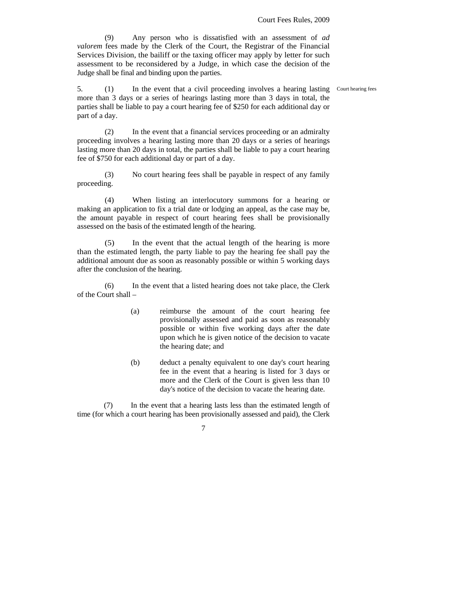Court hearing fees

 (9) Any person who is dissatisfied with an assessment of *ad valorem* fees made by the Clerk of the Court, the Registrar of the Financial Services Division, the bailiff or the taxing officer may apply by letter for such assessment to be reconsidered by a Judge, in which case the decision of the Judge shall be final and binding upon the parties.

5. (1) In the event that a civil proceeding involves a hearing lasting more than 3 days or a series of hearings lasting more than 3 days in total, the parties shall be liable to pay a court hearing fee of \$250 for each additional day or part of a day.

 (2) In the event that a financial services proceeding or an admiralty proceeding involves a hearing lasting more than 20 days or a series of hearings lasting more than 20 days in total, the parties shall be liable to pay a court hearing fee of \$750 for each additional day or part of a day.

(3) No court hearing fees shall be payable in respect of any family proceeding.

 (4) When listing an interlocutory summons for a hearing or making an application to fix a trial date or lodging an appeal, as the case may be, the amount payable in respect of court hearing fees shall be provisionally assessed on the basis of the estimated length of the hearing.

 (5) In the event that the actual length of the hearing is more than the estimated length, the party liable to pay the hearing fee shall pay the additional amount due as soon as reasonably possible or within 5 working days after the conclusion of the hearing.

 (6) In the event that a listed hearing does not take place, the Clerk of the Court shall –

- (a) reimburse the amount of the court hearing fee provisionally assessed and paid as soon as reasonably possible or within five working days after the date upon which he is given notice of the decision to vacate the hearing date; and
- (b) deduct a penalty equivalent to one day's court hearing fee in the event that a hearing is listed for 3 days or more and the Clerk of the Court is given less than 10 day's notice of the decision to vacate the hearing date.

 (7) In the event that a hearing lasts less than the estimated length of time (for which a court hearing has been provisionally assessed and paid), the Clerk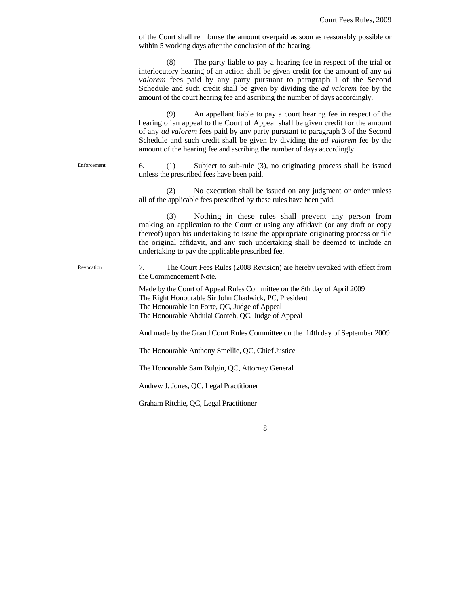| of the Court shall reimburse the amount overpaid as soon as reasonably possible or |
|------------------------------------------------------------------------------------|
| within 5 working days after the conclusion of the hearing.                         |

 (8) The party liable to pay a hearing fee in respect of the trial or interlocutory hearing of an action shall be given credit for the amount of any *ad valorem* fees paid by any party pursuant to paragraph 1 of the Second Schedule and such credit shall be given by dividing the *ad valorem* fee by the amount of the court hearing fee and ascribing the number of days accordingly.

 (9) An appellant liable to pay a court hearing fee in respect of the hearing of an appeal to the Court of Appeal shall be given credit for the amount of any *ad valorem* fees paid by any party pursuant to paragraph 3 of the Second Schedule and such credit shall be given by dividing the *ad valorem* fee by the amount of the hearing fee and ascribing the number of days accordingly.

6. (1) Subject to sub-rule (3), no originating process shall be issued unless the prescribed fees have been paid.

 (2) No execution shall be issued on any judgment or order unless all of the applicable fees prescribed by these rules have been paid.

 (3) Nothing in these rules shall prevent any person from making an application to the Court or using any affidavit (or any draft or copy thereof) upon his undertaking to issue the appropriate originating process or file the original affidavit, and any such undertaking shall be deemed to include an undertaking to pay the applicable prescribed fee.

7. The Court Fees Rules (2008 Revision) are hereby revoked with effect from the Commencement Note.

Made by the Court of Appeal Rules Committee on the 8th day of April 2009 The Right Honourable Sir John Chadwick, PC, President The Honourable Ian Forte, QC, Judge of Appeal The Honourable Abdulai Conteh, QC, Judge of Appeal

And made by the Grand Court Rules Committee on the 14th day of September 2009

The Honourable Anthony Smellie, QC, Chief Justice

The Honourable Sam Bulgin, QC, Attorney General

Andrew J. Jones, QC, Legal Practitioner

Enforcement

Revocation

Graham Ritchie, QC, Legal Practitioner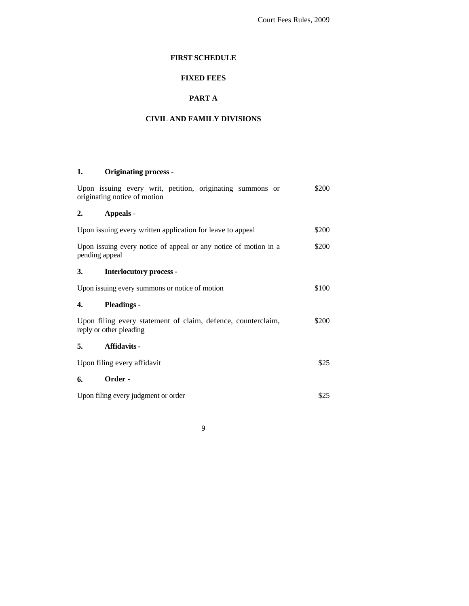Court Fees Rules, 2009

## **FIRST SCHEDULE**

# **FIXED FEES**

# **PART A**

## **CIVIL AND FAMILY DIVISIONS**

# **1. Originating process** -

| Upon issuing every writ, petition, originating summons or<br>originating notice of motion | \$200 |
|-------------------------------------------------------------------------------------------|-------|
| 2.<br>Appeals -                                                                           |       |
| Upon issuing every written application for leave to appeal                                | \$200 |
| Upon issuing every notice of appeal or any notice of motion in a<br>pending appeal        | \$200 |
| 3.<br><b>Interlocutory process -</b>                                                      |       |
| Upon issuing every summons or notice of motion                                            | \$100 |
| <b>Pleadings</b> -<br>4.                                                                  |       |
| Upon filing every statement of claim, defence, counterclaim,<br>reply or other pleading   | \$200 |
| <b>Affidavits -</b><br>5.                                                                 |       |
| Upon filing every affidavit                                                               | \$25  |
| Order -<br>6.                                                                             |       |
| Upon filing every judgment or order                                                       | \$25  |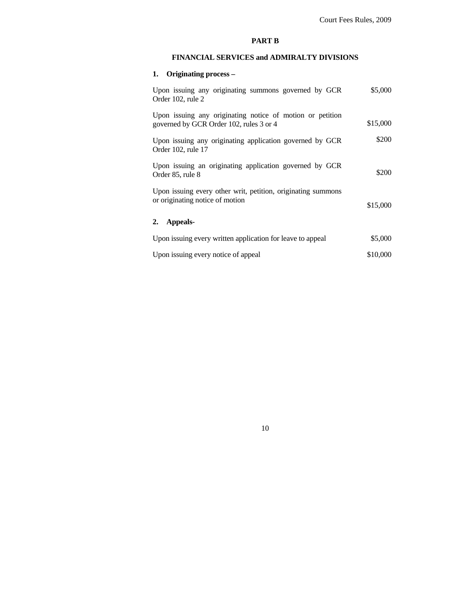## **PART B**

## **FINANCIAL SERVICES and ADMIRALTY DIVISIONS**

# **1. Originating process –**

| Upon issuing any originating summons governed by GCR<br>Order 102, rule 2                            | \$5,000  |
|------------------------------------------------------------------------------------------------------|----------|
| Upon issuing any originating notice of motion or petition<br>governed by GCR Order 102, rules 3 or 4 | \$15,000 |
| Upon issuing any originating application governed by GCR<br>Order 102, rule 17                       | \$200    |
| Upon issuing an originating application governed by GCR<br>Order 85, rule 8                          | \$200    |
| Upon issuing every other writ, petition, originating summons<br>or originating notice of motion      | \$15,000 |
| 2. Appeals-                                                                                          |          |
| Upon issuing every written application for leave to appeal                                           | \$5,000  |
| Upon issuing every notice of appeal                                                                  | \$10,000 |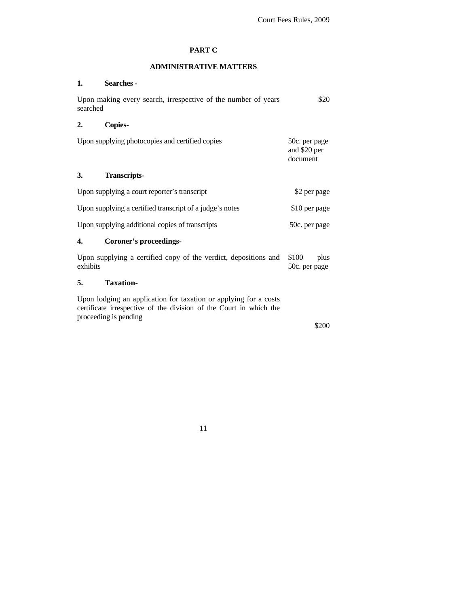## **PART C**

## **ADMINISTRATIVE MATTERS**

## **1. Searches -**

| Upon making every search, irrespective of the number of years<br>searched                                                                                       | \$20                                      |
|-----------------------------------------------------------------------------------------------------------------------------------------------------------------|-------------------------------------------|
| <b>Copies-</b><br>2.                                                                                                                                            |                                           |
| Upon supplying photocopies and certified copies                                                                                                                 | 50c. per page<br>and \$20 per<br>document |
| 3.<br><b>Transcripts-</b>                                                                                                                                       |                                           |
| Upon supplying a court reporter's transcript                                                                                                                    | \$2 per page                              |
| Upon supplying a certified transcript of a judge's notes                                                                                                        | \$10 per page                             |
| Upon supplying additional copies of transcripts                                                                                                                 | 50c. per page                             |
| Coroner's proceedings-<br>4.                                                                                                                                    |                                           |
| Upon supplying a certified copy of the verdict, depositions and<br>exhibits                                                                                     | \$100<br>plus<br>50c. per page            |
| <b>Taxation-</b><br>5.                                                                                                                                          |                                           |
| Upon lodging an application for taxation or applying for a costs<br>certificate irrespective of the division of the Court in which the<br>proceeding is pending |                                           |

\$200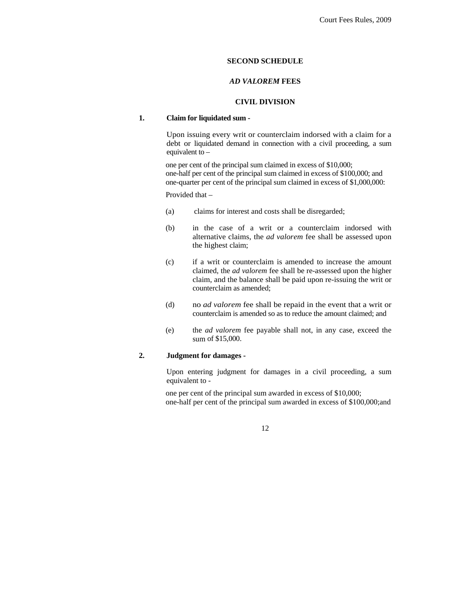### **SECOND SCHEDULE**

### *AD VALOREM* **FEES**

### **CIVIL DIVISION**

### **1. Claim for liquidated sum -**

Upon issuing every writ or counterclaim indorsed with a claim for a debt or liquidated demand in connection with a civil proceeding, a sum equivalent to –

 one per cent of the principal sum claimed in excess of \$10,000; one-half per cent of the principal sum claimed in excess of \$100,000; and one-quarter per cent of the principal sum claimed in excess of \$1,000,000:

Provided that –

- (a) claims for interest and costs shall be disregarded;
- (b) in the case of a writ or a counterclaim indorsed with alternative claims, the *ad valorem* fee shall be assessed upon the highest claim;
- (c) if a writ or counterclaim is amended to increase the amount claimed, the *ad valorem* fee shall be re-assessed upon the higher claim, and the balance shall be paid upon re-issuing the writ or counterclaim as amended;
- (d) no *ad valorem* fee shall be repaid in the event that a writ or counterclaim is amended so as to reduce the amount claimed; and
- (e) the *ad valorem* fee payable shall not, in any case, exceed the sum of \$15,000.

#### **2. Judgment for damages -**

Upon entering judgment for damages in a civil proceeding, a sum equivalent to -

 one per cent of the principal sum awarded in excess of \$10,000; one-half per cent of the principal sum awarded in excess of \$100,000;and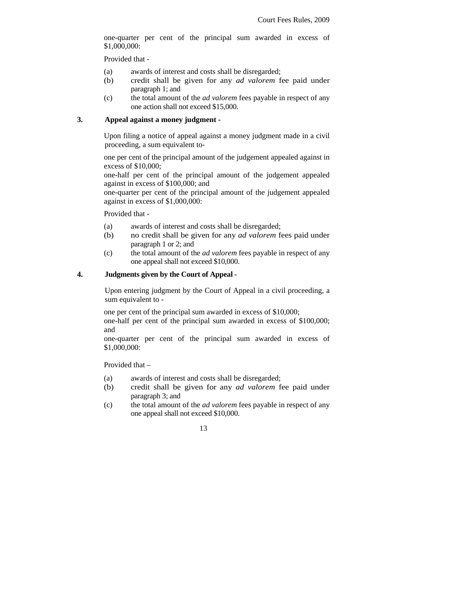one-quarter per cent of the principal sum awarded in excess of \$1,000,000:

Provided that -

- (a) awards of interest and costs shall be disregarded;
- (b) credit shall be given for any *ad valorem* fee paid under paragraph 1; and
- (c) the total amount of the *ad valorem* fees payable in respect of any one action shall not exceed \$15,000.

### **3. Appeal against a money judgment -**

Upon filing a notice of appeal against a money judgment made in a civil proceeding, a sum equivalent to-

 one per cent of the principal amount of the judgement appealed against in excess of \$10,000;

 one-half per cent of the principal amount of the judgement appealed against in excess of \$100,000; and

 one-quarter per cent of the principal amount of the judgement appealed against in excess of \$1,000,000:

Provided that -

- (a) awards of interest and costs shall be disregarded;
- (b) no credit shall be given for any *ad valorem* fees paid under paragraph 1 or 2; and
- (c) the total amount of the *ad valorem* fees payable in respect of any one appeal shall not exceed \$10,000.

#### **4. Judgments given by the Court of Appeal -**

Upon entering judgment by the Court of Appeal in a civil proceeding, a sum equivalent to -

 one per cent of the principal sum awarded in excess of \$10,000; one-half per cent of the principal sum awarded in excess of \$100,000; and

 one-quarter per cent of the principal sum awarded in excess of \$1,000,000:

Provided that –

- (a) awards of interest and costs shall be disregarded;
- (b) credit shall be given for any *ad valorem* fee paid under paragraph 3; and
- (c) the total amount of the *ad valorem* fees payable in respect of any one appeal shall not exceed \$10,000.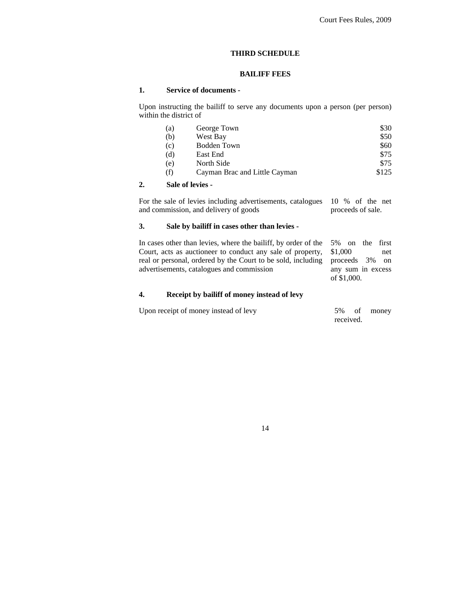#### **THIRD SCHEDULE**

## **BAILIFF FEES**

#### **1. Service of documents -**

Upon instructing the bailiff to serve any documents upon a person (per person) within the district of

| (a) | George Town                   | \$30  |
|-----|-------------------------------|-------|
| (b) | West Bay                      | \$50  |
| (c) | Bodden Town                   | \$60  |
| (d) | East End                      | \$75  |
| (e) | North Side                    | \$75  |
| (f) | Cayman Brac and Little Cayman | \$125 |

#### **2. Sale of levies -**

For the sale of levies including advertisements, catalogues and commission, and delivery of goods 10 % of the net proceeds of sale.

### **3. Sale by bailiff in cases other than levies -**

In cases other than levies, where the bailiff, by order of the Court, acts as auctioneer to conduct any sale of property, real or personal, ordered by the Court to be sold, including advertisements, catalogues and commission 5% on the first \$1,000 net proceeds 3% on any sum in excess of \$1,000.

## **4. Receipt by bailiff of money instead of levy**

| Upon receipt of money instead of levy | 5% of money |  |
|---------------------------------------|-------------|--|
|                                       | received.   |  |